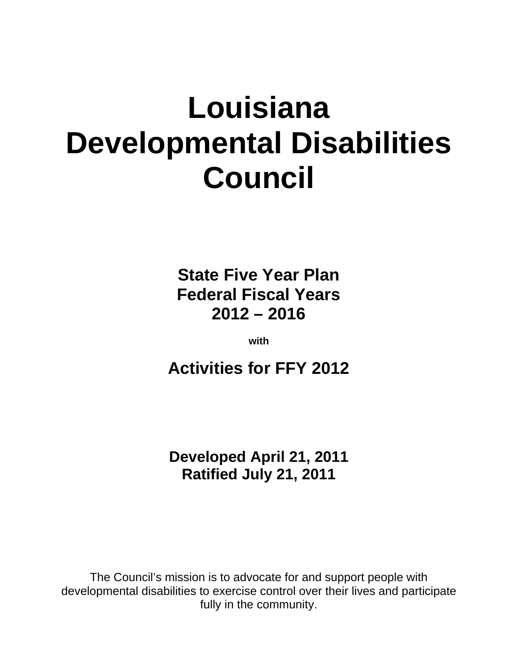# **Louisiana Developmental Disabilities Council**

**State Five Year Plan Federal Fiscal Years 2012 – 2016** 

**with** 

**Activities for FFY 2012** 

**Developed April 21, 2011 Ratified July 21, 2011** 

The Council's mission is to advocate for and support people with developmental disabilities to exercise control over their lives and participate fully in the community.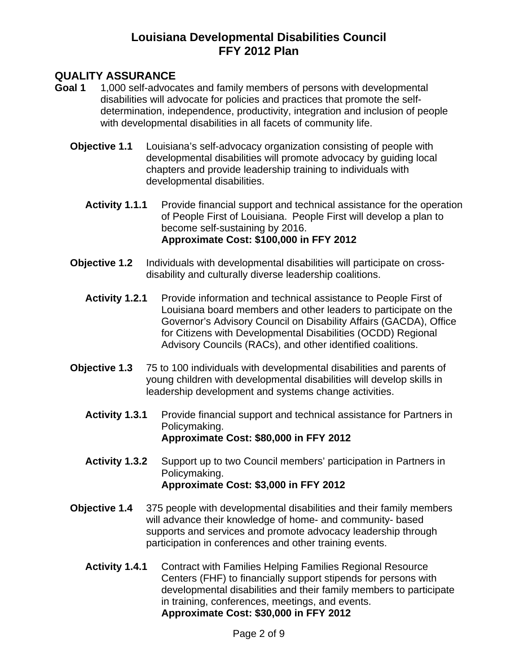## **QUALITY ASSURANCE**

- **Goal 1** 1,000 self-advocates and family members of persons with developmental disabilities will advocate for policies and practices that promote the selfdetermination, independence, productivity, integration and inclusion of people with developmental disabilities in all facets of community life.
	- **Objective 1.1** Louisiana's self-advocacy organization consisting of people with developmental disabilities will promote advocacy by guiding local chapters and provide leadership training to individuals with developmental disabilities.
		- **Activity 1.1.1** Provide financial support and technical assistance for the operation of People First of Louisiana. People First will develop a plan to become self-sustaining by 2016. **Approximate Cost: \$100,000 in FFY 2012**
	- **Objective 1.2** Individuals with developmental disabilities will participate on crossdisability and culturally diverse leadership coalitions.
		- **Activity 1.2.1** Provide information and technical assistance to People First of Louisiana board members and other leaders to participate on the Governor's Advisory Council on Disability Affairs (GACDA), Office for Citizens with Developmental Disabilities (OCDD) Regional Advisory Councils (RACs), and other identified coalitions.
	- **Objective 1.3** 75 to 100 individuals with developmental disabilities and parents of young children with developmental disabilities will develop skills in leadership development and systems change activities.
		- **Activity 1.3.1** Provide financial support and technical assistance for Partners in Policymaking. **Approximate Cost: \$80,000 in FFY 2012**
		- **Activity 1.3.2** Support up to two Council members' participation in Partners in Policymaking. **Approximate Cost: \$3,000 in FFY 2012**
	- **Objective 1.4** 375 people with developmental disabilities and their family members will advance their knowledge of home- and community- based supports and services and promote advocacy leadership through participation in conferences and other training events.
		- **Activity 1.4.1** Contract with Families Helping Families Regional Resource Centers (FHF) to financially support stipends for persons with developmental disabilities and their family members to participate in training, conferences, meetings, and events. **Approximate Cost: \$30,000 in FFY 2012**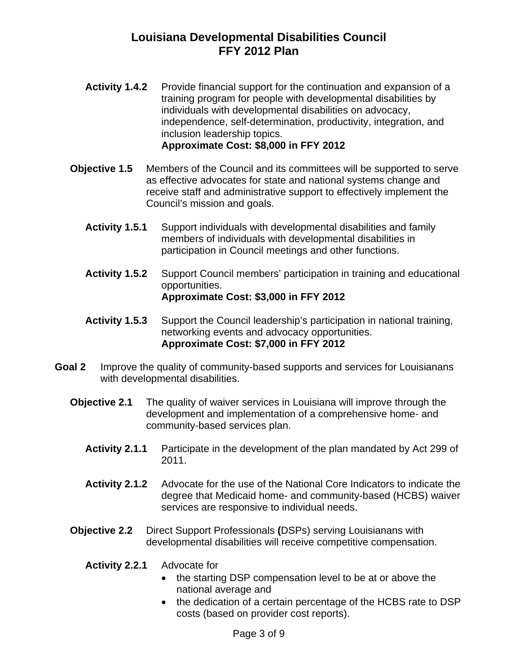- **Activity 1.4.2** Provide financial support for the continuation and expansion of a training program for people with developmental disabilities by individuals with developmental disabilities on advocacy, independence, self-determination, productivity, integration, and inclusion leadership topics. **Approximate Cost: \$8,000 in FFY 2012**
- **Objective 1.5** Members of the Council and its committees will be supported to serve as effective advocates for state and national systems change and receive staff and administrative support to effectively implement the Council's mission and goals.
	- **Activity 1.5.1** Support individuals with developmental disabilities and family members of individuals with developmental disabilities in participation in Council meetings and other functions.
	- **Activity 1.5.2** Support Council members' participation in training and educational opportunities. **Approximate Cost: \$3,000 in FFY 2012**
	- **Activity 1.5.3** Support the Council leadership's participation in national training, networking events and advocacy opportunities. **Approximate Cost: \$7,000 in FFY 2012**
- **Goal 2** Improve the quality of community-based supports and services for Louisianans with developmental disabilities.
	- **Objective 2.1** The quality of waiver services in Louisiana will improve through the development and implementation of a comprehensive home- and community-based services plan.
		- **Activity 2.1.1** Participate in the development of the plan mandated by Act 299 of 2011.
		- **Activity 2.1.2** Advocate for the use of the National Core Indicators to indicate the degree that Medicaid home- and community-based (HCBS) waiver services are responsive to individual needs.
	- **Objective 2.2** Direct Support Professionals **(**DSPs) serving Louisianans with developmental disabilities will receive competitive compensation.
		- **Activity 2.2.1** Advocate for
			- the starting DSP compensation level to be at or above the national average and
			- the dedication of a certain percentage of the HCBS rate to DSP costs (based on provider cost reports).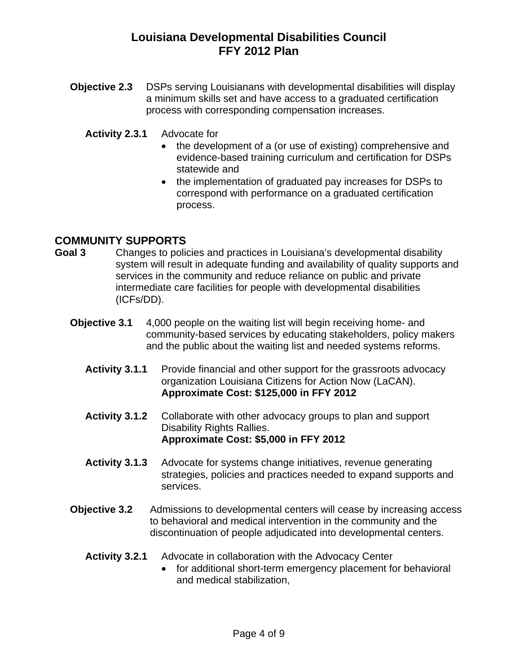**Objective 2.3** DSPs serving Louisianans with developmental disabilities will display a minimum skills set and have access to a graduated certification process with corresponding compensation increases.

#### **Activity 2.3.1** Advocate for

- the development of a (or use of existing) comprehensive and evidence-based training curriculum and certification for DSPs statewide and
- the implementation of graduated pay increases for DSPs to correspond with performance on a graduated certification process.

## **COMMUNITY SUPPORTS**

- **Goal 3** Changes to policies and practices in Louisiana's developmental disability system will result in adequate funding and availability of quality supports and services in the community and reduce reliance on public and private intermediate care facilities for people with developmental disabilities (ICFs/DD).
	- **Objective 3.1** 4,000 people on the waiting list will begin receiving home- and community-based services by educating stakeholders, policy makers and the public about the waiting list and needed systems reforms.
		- **Activity 3.1.1** Provide financial and other support for the grassroots advocacy organization Louisiana Citizens for Action Now (LaCAN). **Approximate Cost: \$125,000 in FFY 2012**
		- **Activity 3.1.2** Collaborate with other advocacy groups to plan and support Disability Rights Rallies. **Approximate Cost: \$5,000 in FFY 2012**
		- **Activity 3.1.3** Advocate for systems change initiatives, revenue generating strategies, policies and practices needed to expand supports and services.
	- **Objective 3.2** Admissions to developmental centers will cease by increasing access to behavioral and medical intervention in the community and the discontinuation of people adjudicated into developmental centers.
		- **Activity 3.2.1** Advocate in collaboration with the Advocacy Center
			- for additional short-term emergency placement for behavioral and medical stabilization,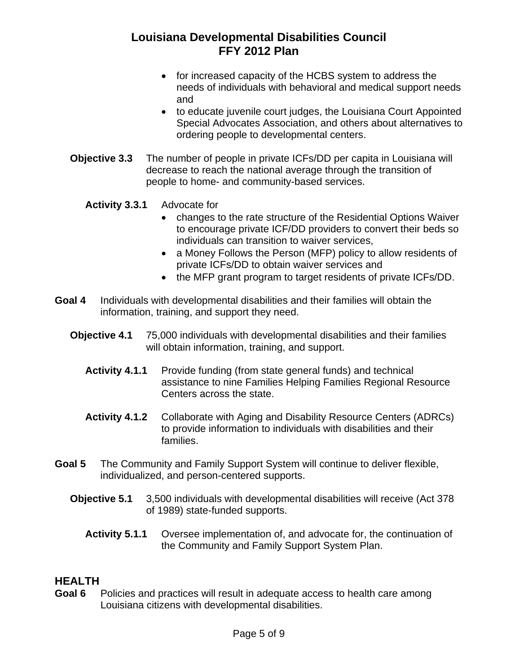- for increased capacity of the HCBS system to address the needs of individuals with behavioral and medical support needs and
- to educate juvenile court judges, the Louisiana Court Appointed Special Advocates Association, and others about alternatives to ordering people to developmental centers.
- **Objective 3.3** The number of people in private ICFs/DD per capita in Louisiana will decrease to reach the national average through the transition of people to home- and community-based services.
	- **Activity 3.3.1** Advocate for
		- changes to the rate structure of the Residential Options Waiver to encourage private ICF/DD providers to convert their beds so individuals can transition to waiver services,
		- a Money Follows the Person (MFP) policy to allow residents of private ICFs/DD to obtain waiver services and
		- the MFP grant program to target residents of private ICFs/DD.
- **Goal 4** Individuals with developmental disabilities and their families will obtain the information, training, and support they need.
	- **Objective 4.1** 75,000 individuals with developmental disabilities and their families will obtain information, training, and support.
		- **Activity 4.1.1** Provide funding (from state general funds) and technical assistance to nine Families Helping Families Regional Resource Centers across the state.
		- **Activity 4.1.2** Collaborate with Aging and Disability Resource Centers (ADRCs) to provide information to individuals with disabilities and their families.
- **Goal 5** The Community and Family Support System will continue to deliver flexible, individualized, and person-centered supports.
	- **Objective 5.1** 3,500 individuals with developmental disabilities will receive (Act 378 of 1989) state-funded supports.
		- **Activity 5.1.1** Oversee implementation of, and advocate for, the continuation of the Community and Family Support System Plan.

## **HEALTH**

**Goal 6** Policies and practices will result in adequate access to health care among Louisiana citizens with developmental disabilities.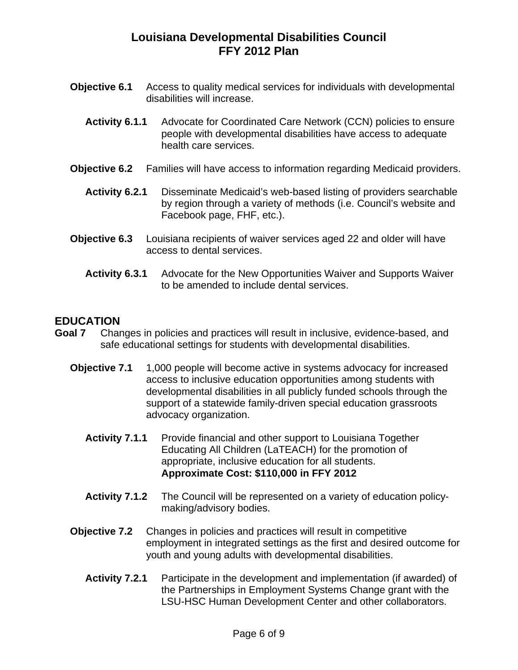- **Objective 6.1** Access to quality medical services for individuals with developmental disabilities will increase.
	- **Activity 6.1.1** Advocate for Coordinated Care Network (CCN) policies to ensure people with developmental disabilities have access to adequate health care services.
- **Objective 6.2** Families will have access to information regarding Medicaid providers.
	- **Activity 6.2.1** Disseminate Medicaid's web-based listing of providers searchable by region through a variety of methods (i.e. Council's website and Facebook page, FHF, etc.).
- **Objective 6.3** Louisiana recipients of waiver services aged 22 and older will have access to dental services.
	- **Activity 6.3.1** Advocate for the New Opportunities Waiver and Supports Waiver to be amended to include dental services.

#### **EDUCATION**

- **Goal 7** Changes in policies and practices will result in inclusive, evidence-based, and safe educational settings for students with developmental disabilities.
	- **Objective 7.1** 1,000 people will become active in systems advocacy for increased access to inclusive education opportunities among students with developmental disabilities in all publicly funded schools through the support of a statewide family-driven special education grassroots advocacy organization.
		- **Activity 7.1.1** Provide financial and other support to Louisiana Together Educating All Children (LaTEACH) for the promotion of appropriate, inclusive education for all students. **Approximate Cost: \$110,000 in FFY 2012**
		- **Activity 7.1.2** The Council will be represented on a variety of education policymaking/advisory bodies.
	- **Objective 7.2** Changes in policies and practices will result in competitive employment in integrated settings as the first and desired outcome for youth and young adults with developmental disabilities.
		- **Activity 7.2.1** Participate in the development and implementation (if awarded) of the Partnerships in Employment Systems Change grant with the LSU-HSC Human Development Center and other collaborators.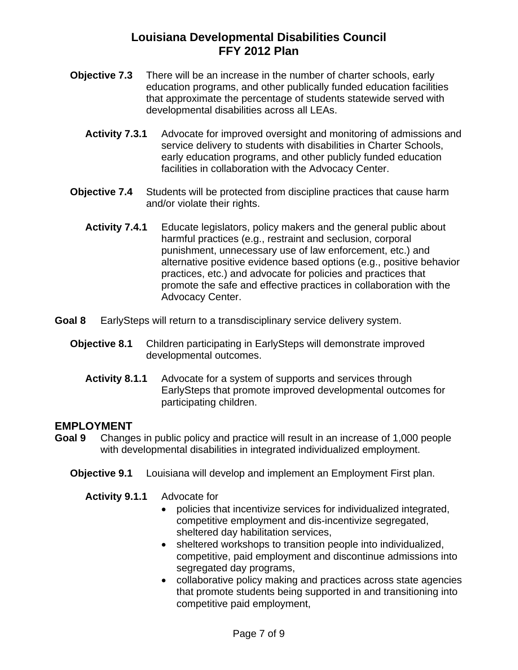- **Objective 7.3** There will be an increase in the number of charter schools, early education programs, and other publically funded education facilities that approximate the percentage of students statewide served with developmental disabilities across all LEAs.
	- **Activity 7.3.1** Advocate for improved oversight and monitoring of admissions and service delivery to students with disabilities in Charter Schools, early education programs, and other publicly funded education facilities in collaboration with the Advocacy Center.
- **Objective 7.4** Students will be protected from discipline practices that cause harm and/or violate their rights.
	- **Activity 7.4.1** Educate legislators, policy makers and the general public about harmful practices (e.g., restraint and seclusion, corporal punishment, unnecessary use of law enforcement, etc.) and alternative positive evidence based options (e.g., positive behavior practices, etc.) and advocate for policies and practices that promote the safe and effective practices in collaboration with the Advocacy Center.
- **Goal 8** EarlySteps will return to a transdisciplinary service delivery system.
	- **Objective 8.1** Children participating in EarlySteps will demonstrate improved developmental outcomes.
		- **Activity 8.1.1** Advocate for a system of supports and services through EarlySteps that promote improved developmental outcomes for participating children.

#### **EMPLOYMENT**

- **Goal 9** Changes in public policy and practice will result in an increase of 1,000 people with developmental disabilities in integrated individualized employment.
	- **Objective 9.1** Louisiana will develop and implement an Employment First plan.

**Activity 9.1.1** Advocate for

- policies that incentivize services for individualized integrated, competitive employment and dis-incentivize segregated, sheltered day habilitation services,
- sheltered workshops to transition people into individualized, competitive, paid employment and discontinue admissions into segregated day programs,
- collaborative policy making and practices across state agencies that promote students being supported in and transitioning into competitive paid employment,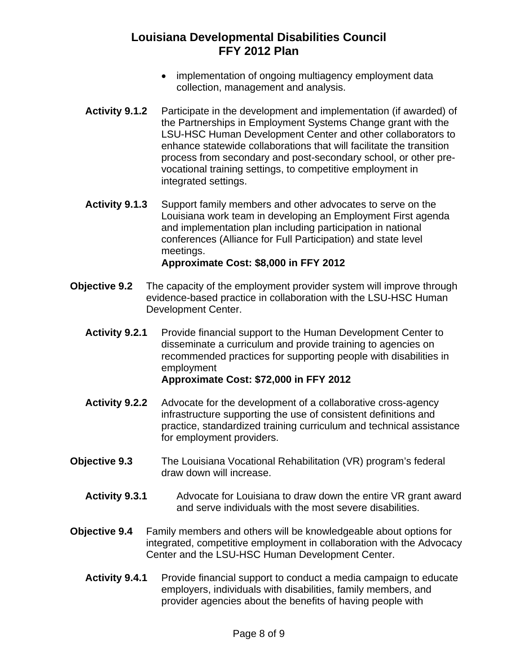- implementation of ongoing multiagency employment data collection, management and analysis.
- **Activity 9.1.2** Participate in the development and implementation (if awarded) of the Partnerships in Employment Systems Change grant with the LSU-HSC Human Development Center and other collaborators to enhance statewide collaborations that will facilitate the transition process from secondary and post-secondary school, or other prevocational training settings, to competitive employment in integrated settings.
- **Activity 9.1.3** Support family members and other advocates to serve on the Louisiana work team in developing an Employment First agenda and implementation plan including participation in national conferences (Alliance for Full Participation) and state level meetings. **Approximate Cost: \$8,000 in FFY 2012**
- **Objective 9.2** The capacity of the employment provider system will improve through evidence-based practice in collaboration with the LSU-HSC Human Development Center.
	- **Activity 9.2.1** Provide financial support to the Human Development Center to disseminate a curriculum and provide training to agencies on recommended practices for supporting people with disabilities in employment **Approximate Cost: \$72,000 in FFY 2012**
	- **Activity 9.2.2** Advocate for the development of a collaborative cross-agency infrastructure supporting the use of consistent definitions and practice, standardized training curriculum and technical assistance for employment providers.
- **Objective 9.3** The Louisiana Vocational Rehabilitation (VR) program's federal draw down will increase.
	- **Activity 9.3.1** Advocate for Louisiana to draw down the entire VR grant award and serve individuals with the most severe disabilities.
- **Objective 9.4** Family members and others will be knowledgeable about options for integrated, competitive employment in collaboration with the Advocacy Center and the LSU-HSC Human Development Center.
	- **Activity 9.4.1** Provide financial support to conduct a media campaign to educate employers, individuals with disabilities, family members, and provider agencies about the benefits of having people with